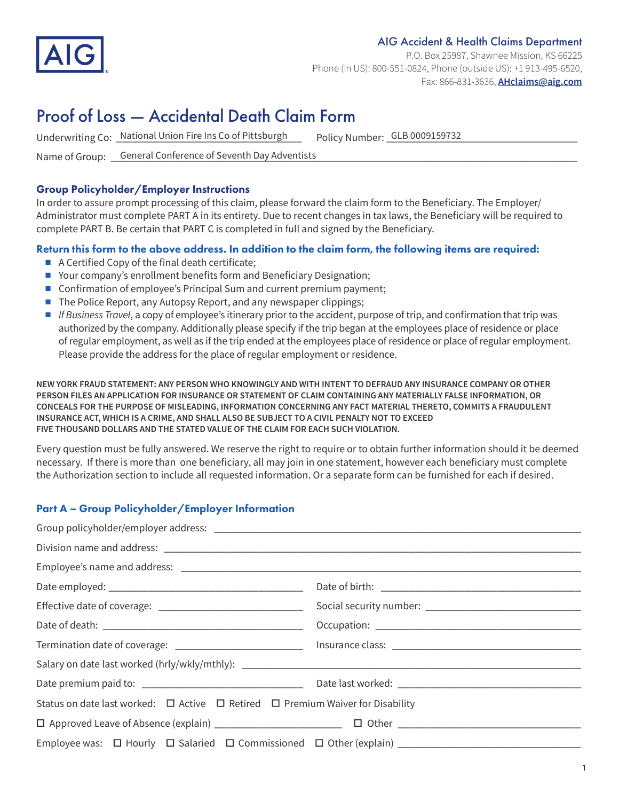

#### AIG Accident & Health Claims Department

P.O. Box 25987, Shawnee Mission, KS 66225 Phone (in US): 800-551-0824, Phone (outside US): +1 913-495-6520, Fax: 866-831-3636, **[AHclaims@aig.com](http://AHclaims@aig.com)**

# Proof of Loss — Accidental Death Claim Form

Underwriting Co: \_National Union Fire Ins Co of Pittsburgh \_\_\_\_\_ Policy Number: \_GLB 0009159732 \_\_\_\_\_\_\_\_\_\_\_\_\_\_\_

Policy Number: GLB 0009159732

Name of Group: \_\_\_\_\_\_\_\_\_\_\_\_\_\_\_\_\_\_\_\_\_\_\_\_\_\_\_\_\_\_\_\_\_\_\_\_\_\_\_\_\_\_\_\_\_\_\_\_\_\_\_\_\_\_\_\_\_\_\_\_\_\_\_\_\_\_\_\_\_\_\_\_\_\_\_\_\_\_\_\_\_\_\_\_\_\_\_\_ General Conference of Seventh Day Adventists

### Group Policyholder/Employer Instructions

In order to assure prompt processing of this claim, please forward the claim form to the Beneficiary. The Employer/ Administrator must complete PART A in its entirety. Due to recent changes in tax laws, the Beneficiary will be required to complete PART B. Be certain that PART C is completed in full and signed by the Beneficiary.

## Return this form to the above address. In addition to the claim form, the following items are required:

- $\blacksquare$  A Certified Copy of the final death certificate;
- Your company's enrollment benefits form and Beneficiary Designation;
- Confirmation of employee's Principal Sum and current premium payment;
- $\blacksquare$  The Police Report, any Autopsy Report, and any newspaper clippings;
- <sup>n</sup> *If Business Travel*, a copy of employee's itinerary prior to the accident, purpose of trip, and confirmation that trip was authorized by the company. Additionally please specify if the trip began at the employees place of residence or place of regular employment, as well as if the trip ended at the employees place of residence or place of regular employment. Please provide the address for the place of regular employment or residence.

**NEW YORK FRAUD STATEMENT: ANY PERSON WHO KNOWINGLY AND WITH INTENT TO DEFRAUD ANY INSURANCE COMPANY OR OTHER PERSON FILES AN APPLICATION FOR INSURANCE OR STATEMENT OF CLAIM CONTAINING ANY MATERIALLY FALSE INFORMATION, OR CONCEALS FOR THE PURPOSE OF MISLEADING, INFORMATION CONCERNING ANY FACT MATERIAL THERETO, COMMITS A FRAUDULENT INSURANCE ACT, WHICH IS A CRIME, AND SHALL ALSO BE SUBJECT TO A CIVIL PENALTY NOT TO EXCEED FIVE THOUSAND DOLLARS AND THE STATED VALUE OF THE CLAIM FOR EACH SUCH VIOLATION.**

Every question must be fully answered. We reserve the right to require or to obtain further information should it be deemed necessary. If there is more than one beneficiary, all may join in one statement, however each beneficiary must complete the Authorization section to include all requested information. Or a separate form can be furnished for each if desired.

# Part A – Group Policyholder/Employer Information

| Status on date last worked: $\Box$ Active $\Box$ Retired $\Box$ Premium Waiver for Disability |  |
|-----------------------------------------------------------------------------------------------|--|
|                                                                                               |  |
| Employee was: $\Box$ Hourly $\Box$ Salaried $\Box$ Commissioned $\Box$ Other (explain)        |  |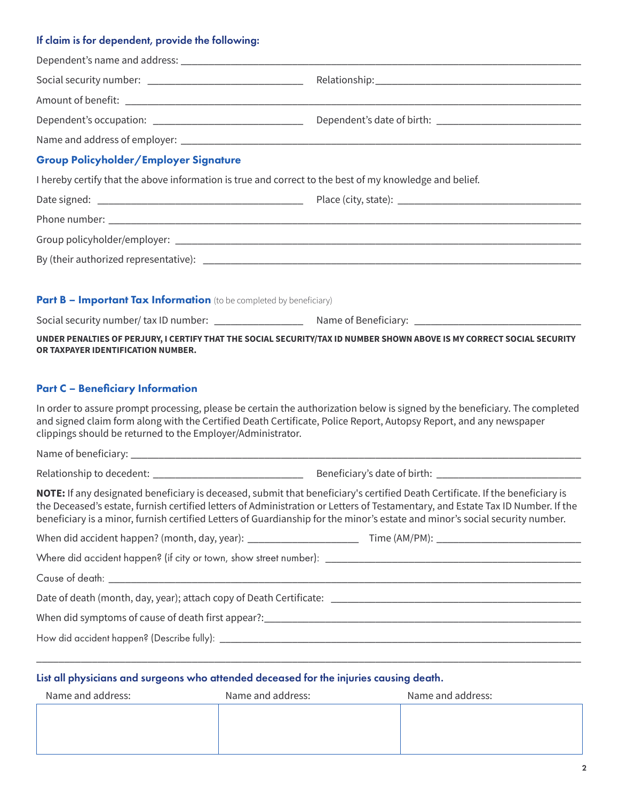# If claim is for dependent, provide the following:

| <b>Group Policyholder/Employer Signature</b>                                                                                                                                                                                                                                                                                                                                                     |  |
|--------------------------------------------------------------------------------------------------------------------------------------------------------------------------------------------------------------------------------------------------------------------------------------------------------------------------------------------------------------------------------------------------|--|
| I hereby certify that the above information is true and correct to the best of my knowledge and belief.                                                                                                                                                                                                                                                                                          |  |
|                                                                                                                                                                                                                                                                                                                                                                                                  |  |
|                                                                                                                                                                                                                                                                                                                                                                                                  |  |
|                                                                                                                                                                                                                                                                                                                                                                                                  |  |
|                                                                                                                                                                                                                                                                                                                                                                                                  |  |
| Part B - Important Tax Information (to be completed by beneficiary)                                                                                                                                                                                                                                                                                                                              |  |
|                                                                                                                                                                                                                                                                                                                                                                                                  |  |
| UNDER PENALTIES OF PERJURY, I CERTIFY THAT THE SOCIAL SECURITY/TAX ID NUMBER SHOWN ABOVE IS MY CORRECT SOCIAL SECURITY                                                                                                                                                                                                                                                                           |  |
| OR TAXPAYER IDENTIFICATION NUMBER.                                                                                                                                                                                                                                                                                                                                                               |  |
|                                                                                                                                                                                                                                                                                                                                                                                                  |  |
| <b>Part C - Beneficiary Information</b>                                                                                                                                                                                                                                                                                                                                                          |  |
| In order to assure prompt processing, please be certain the authorization below is signed by the beneficiary. The completed<br>and signed claim form along with the Certified Death Certificate, Police Report, Autopsy Report, and any newspaper<br>clippings should be returned to the Employer/Administrator.                                                                                 |  |
|                                                                                                                                                                                                                                                                                                                                                                                                  |  |
|                                                                                                                                                                                                                                                                                                                                                                                                  |  |
| NOTE: If any designated beneficiary is deceased, submit that beneficiary's certified Death Certificate. If the beneficiary is<br>the Deceased's estate, furnish certified letters of Administration or Letters of Testamentary, and Estate Tax ID Number. If the<br>beneficiary is a minor, furnish certified Letters of Guardianship for the minor's estate and minor's social security number. |  |
|                                                                                                                                                                                                                                                                                                                                                                                                  |  |
|                                                                                                                                                                                                                                                                                                                                                                                                  |  |
|                                                                                                                                                                                                                                                                                                                                                                                                  |  |
|                                                                                                                                                                                                                                                                                                                                                                                                  |  |
|                                                                                                                                                                                                                                                                                                                                                                                                  |  |
|                                                                                                                                                                                                                                                                                                                                                                                                  |  |
|                                                                                                                                                                                                                                                                                                                                                                                                  |  |
| List all physicians and surgeons who attended deceased for the injuries causing death.                                                                                                                                                                                                                                                                                                           |  |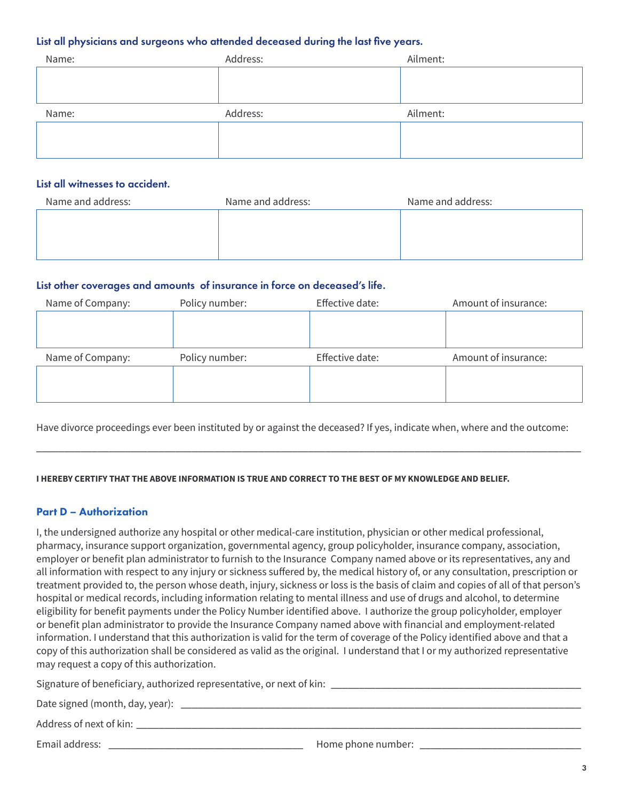#### List all physicians and surgeons who attended deceased during the last five years.

| Name: | Address: | Ailment: |
|-------|----------|----------|
|       |          |          |
|       |          |          |
| Name: | Address: | Ailment: |
|       |          |          |
|       |          |          |

#### List all witnesses to accident.

| Name and address: | Name and address: | Name and address: |
|-------------------|-------------------|-------------------|
|                   |                   |                   |
|                   |                   |                   |
|                   |                   |                   |

#### List other coverages and amounts of insurance in force on deceased's life.

|                |                 | Amount of insurance: |
|----------------|-----------------|----------------------|
|                |                 |                      |
|                |                 |                      |
| Policy number: | Effective date: | Amount of insurance: |
|                |                 |                      |
|                |                 |                      |
|                |                 |                      |

Have divorce proceedings ever been instituted by or against the deceased? If yes, indicate when, where and the outcome:

\_\_\_\_\_\_\_\_\_\_\_\_\_\_\_\_\_\_\_\_\_\_\_\_\_\_\_\_\_\_\_\_\_\_\_\_\_\_\_\_\_\_\_\_\_\_\_\_\_\_\_\_\_\_\_\_\_\_\_\_\_\_\_\_\_\_\_\_\_\_\_\_\_\_\_\_\_\_\_\_\_\_\_\_\_\_\_\_\_\_\_\_\_\_\_\_\_\_

**I HEREBY CERTIFY THAT THE ABOVE INFORMATION IS TRUE AND CORRECT TO THE BEST OF MY KNOWLEDGE AND BELIEF.** 

#### Part D – Authorization

I, the undersigned authorize any hospital or other medical-care institution, physician or other medical professional, pharmacy, insurance support organization, governmental agency, group policyholder, insurance company, association, employer or benefit plan administrator to furnish to the Insurance Company named above or its representatives, any and all information with respect to any injury or sickness suffered by, the medical history of, or any consultation, prescription or treatment provided to, the person whose death, injury, sickness or loss is the basis of claim and copies of all of that person's hospital or medical records, including information relating to mental illness and use of drugs and alcohol, to determine eligibility for benefit payments under the Policy Number identified above. I authorize the group policyholder, employer or benefit plan administrator to provide the Insurance Company named above with financial and employment-related information. I understand that this authorization is valid for the term of coverage of the Policy identified above and that a copy of this authorization shall be considered as valid as the original. I understand that I or my authorized representative may request a copy of this authorization.

Signature of beneficiary, authorized representative, or next of kin: \_\_\_\_\_\_\_\_\_\_\_\_\_\_\_\_\_\_\_\_\_\_\_\_\_\_\_\_\_\_\_\_\_\_\_\_\_\_\_\_\_\_\_\_\_ Date signed (month, day, year): \_\_\_\_\_\_\_\_\_\_\_\_\_\_\_\_\_\_\_\_\_\_\_\_\_\_\_\_\_\_\_\_\_\_\_\_\_\_\_\_\_\_\_\_\_\_\_\_\_\_\_\_\_\_\_\_\_\_\_\_\_\_\_\_\_\_\_\_\_\_\_\_ Address of next of kin: Email address: \_\_\_\_\_\_\_\_\_\_\_\_\_\_\_\_\_\_\_\_\_\_\_\_\_\_\_\_\_\_\_\_\_\_\_ Home phone number: \_\_\_\_\_\_\_\_\_\_\_\_\_\_\_\_\_\_\_\_\_\_\_\_\_\_\_\_\_